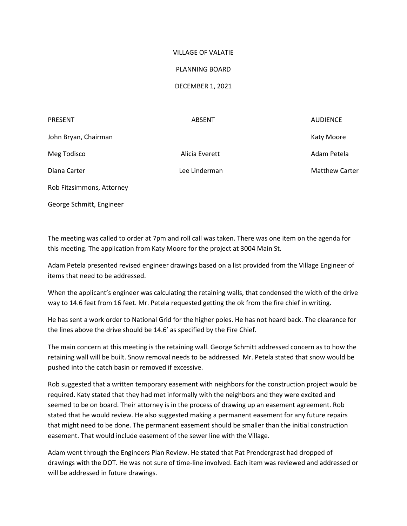## VILLAGE OF VALATIE

## PLANNING BOARD

## DECEMBER 1, 2021

| <b>PRESENT</b>            | <b>ABSENT</b>  | <b>AUDIENCE</b>       |
|---------------------------|----------------|-----------------------|
| John Bryan, Chairman      |                | <b>Katy Moore</b>     |
| Meg Todisco               | Alicia Everett | Adam Petela           |
| Diana Carter              | Lee Linderman  | <b>Matthew Carter</b> |
| Rob Fitzsimmons, Attorney |                |                       |

George Schmitt, Engineer

The meeting was called to order at 7pm and roll call was taken. There was one item on the agenda for this meeting. The application from Katy Moore for the project at 3004 Main St.

Adam Petela presented revised engineer drawings based on a list provided from the Village Engineer of items that need to be addressed.

When the applicant's engineer was calculating the retaining walls, that condensed the width of the drive way to 14.6 feet from 16 feet. Mr. Petela requested getting the ok from the fire chief in writing.

He has sent a work order to National Grid for the higher poles. He has not heard back. The clearance for the lines above the drive should be 14.6' as specified by the Fire Chief.

The main concern at this meeting is the retaining wall. George Schmitt addressed concern as to how the retaining wall will be built. Snow removal needs to be addressed. Mr. Petela stated that snow would be pushed into the catch basin or removed if excessive.

Rob suggested that a written temporary easement with neighbors for the construction project would be required. Katy stated that they had met informally with the neighbors and they were excited and seemed to be on board. Their attorney is in the process of drawing up an easement agreement. Rob stated that he would review. He also suggested making a permanent easement for any future repairs that might need to be done. The permanent easement should be smaller than the initial construction easement. That would include easement of the sewer line with the Village.

Adam went through the Engineers Plan Review. He stated that Pat Prendergrast had dropped of drawings with the DOT. He was not sure of time-line involved. Each item was reviewed and addressed or will be addressed in future drawings.